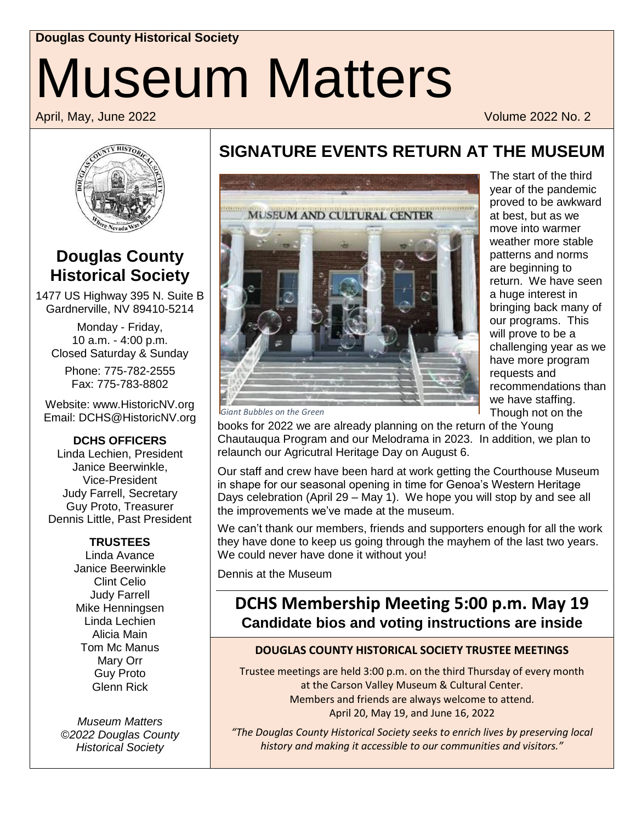# **Douglas County Historical Society** Museum Matters

April, May, June 2022 Volume 2022 No. 2



### **Douglas County Historical Society**

1477 US Highway 395 N. Suite B Gardnerville, NV 89410-5214

Monday - Friday, 10 a.m. - 4:00 p.m. Closed Saturday & Sunday

Phone: 775-782-2555 Fax: 775-783-8802

Website: www.HistoricNV.org Email: DCHS@HistoricNV.org

**DCHS OFFICERS**

Linda Lechien, President Janice Beerwinkle, Vice-President Judy Farrell, Secretary Guy Proto, Treasurer Dennis Little, Past President

#### **TRUSTEES**

Linda Avance Janice Beerwinkle Clint Celio Judy Farrell Mike Henningsen Linda Lechien Alicia Main Tom Mc Manus Mary Orr Guy Proto Glenn Rick

*Museum Matters ©2022 Douglas County Historical Society*

## **SIGNATURE EVENTS RETURN AT THE MUSEUM**



The start of the third year of the pandemic proved to be awkward at best, but as we move into warmer weather more stable patterns and norms are beginning to return. We have seen a huge interest in bringing back many of our programs. This will prove to be a challenging year as we have more program requests and recommendations than we have staffing. Though not on the

*Giant Bubbles on the Green*

books for 2022 we are already planning on the return of the Young Chautauqua Program and our Melodrama in 2023. In addition, we plan to relaunch our Agricutral Heritage Day on August 6.

Our staff and crew have been hard at work getting the Courthouse Museum in shape for our seasonal opening in time for Genoa's Western Heritage Days celebration (April 29 – May 1). We hope you will stop by and see all the improvements we've made at the museum.

We can't thank our members, friends and supporters enough for all the work they have done to keep us going through the mayhem of the last two years. We could never have done it without you!

Dennis at the Museum

### **DCHS Membership Meeting 5:00 p.m. May 19 Candidate bios and voting instructions are inside**

#### **DOUGLAS COUNTY HISTORICAL SOCIETY TRUSTEE MEETINGS**

Trustee meetings are held 3:00 p.m. on the third Thursday of every month at the Carson Valley Museum & Cultural Center. Members and friends are always welcome to attend. April 20, May 19, and June 16, 2022

*"The Douglas County Historical Society seeks to enrich lives by preserving local history and making it accessible to our communities and visitors."*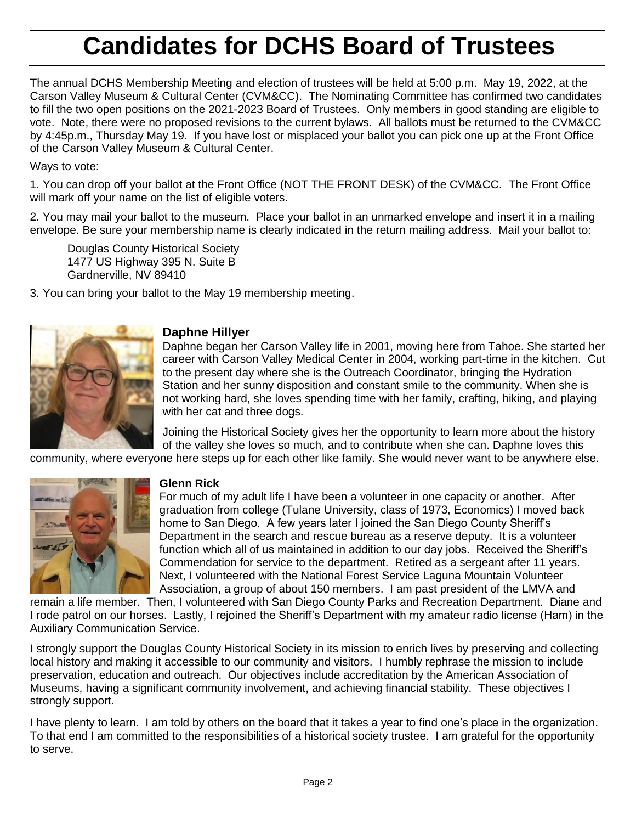## **Candidates for DCHS Board of Trustees**

The annual DCHS Membership Meeting and election of trustees will be held at 5:00 p.m. May 19, 2022, at the Carson Valley Museum & Cultural Center (CVM&CC). The Nominating Committee has confirmed two candidates to fill the two open positions on the 2021-2023 Board of Trustees. Only members in good standing are eligible to vote. Note, there were no proposed revisions to the current bylaws. All ballots must be returned to the CVM&CC by 4:45p.m., Thursday May 19. If you have lost or misplaced your ballot you can pick one up at the Front Office of the Carson Valley Museum & Cultural Center.

Ways to vote:

1. You can drop off your ballot at the Front Office (NOT THE FRONT DESK) of the CVM&CC. The Front Office will mark off your name on the list of eligible voters.

2. You may mail your ballot to the museum. Place your ballot in an unmarked envelope and insert it in a mailing envelope. Be sure your membership name is clearly indicated in the return mailing address. Mail your ballot to:

Douglas County Historical Society 1477 US Highway 395 N. Suite B Gardnerville, NV 89410

3. You can bring your ballot to the May 19 membership meeting.



#### **Daphne Hillyer**

Daphne began her Carson Valley life in 2001, moving here from Tahoe. She started her career with Carson Valley Medical Center in 2004, working part-time in the kitchen. Cut to the present day where she is the Outreach Coordinator, bringing the Hydration Station and her sunny disposition and constant smile to the community. When she is not working hard, she loves spending time with her family, crafting, hiking, and playing with her cat and three dogs.

Joining the Historical Society gives her the opportunity to learn more about the history of the valley she loves so much, and to contribute when she can. Daphne loves this

community, where everyone here steps up for each other like family. She would never want to be anywhere else.



#### **Glenn Rick**

For much of my adult life I have been a volunteer in one capacity or another. After graduation from college (Tulane University, class of 1973, Economics) I moved back home to San Diego. A few years later I joined the San Diego County Sheriff's Department in the search and rescue bureau as a reserve deputy. It is a volunteer function which all of us maintained in addition to our day jobs. Received the Sheriff's Commendation for service to the department. Retired as a sergeant after 11 years. Next, I volunteered with the National Forest Service Laguna Mountain Volunteer Association, a group of about 150 members. I am past president of the LMVA and

remain a life member. Then, I volunteered with San Diego County Parks and Recreation Department. Diane and I rode patrol on our horses. Lastly, I rejoined the Sheriff's Department with my amateur radio license (Ham) in the Auxiliary Communication Service.

I strongly support the Douglas County Historical Society in its mission to enrich lives by preserving and collecting local history and making it accessible to our community and visitors. I humbly rephrase the mission to include preservation, education and outreach. Our objectives include accreditation by the American Association of Museums, having a significant community involvement, and achieving financial stability. These objectives I strongly support.

I have plenty to learn. I am told by others on the board that it takes a year to find one's place in the organization. To that end I am committed to the responsibilities of a historical society trustee. I am grateful for the opportunity to serve.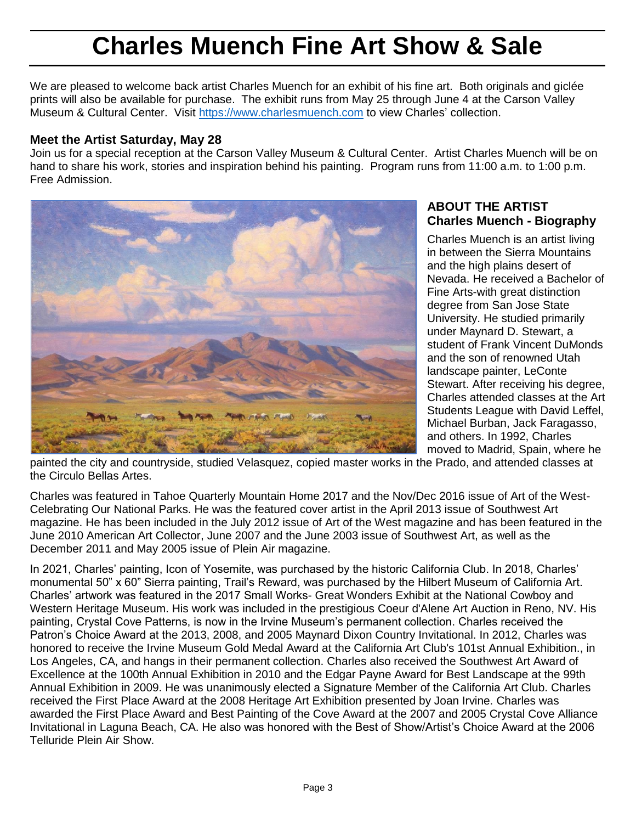## **Charles Muench Fine Art Show & Sale**

We are pleased to welcome back artist Charles Muench for an exhibit of his fine art. Both originals and giclée prints will also be available for purchase. The exhibit runs from May 25 through June 4 at the Carson Valley Museum & Cultural Center. Visit [https://www.charlesmuench.com](https://www.charlesmuench.com/) to view Charles' collection.

#### **Meet the Artist Saturday, May 28**

Join us for a special reception at the Carson Valley Museum & Cultural Center. Artist Charles Muench will be on hand to share his work, stories and inspiration behind his painting. Program runs from 11:00 a.m. to 1:00 p.m. Free Admission.



#### **ABOUT THE ARTIST Charles Muench - Biography**

Charles Muench is an artist living in between the Sierra Mountains and the high plains desert of Nevada. He received a Bachelor of Fine Arts-with great distinction degree from San Jose State University. He studied primarily under Maynard D. Stewart, a student of Frank Vincent DuMonds and the son of renowned Utah landscape painter, LeConte Stewart. After receiving his degree, Charles attended classes at the Art Students League with David Leffel, Michael Burban, Jack Faragasso, and others. In 1992, Charles moved to Madrid, Spain, where he

painted the city and countryside, studied Velasquez, copied master works in the Prado, and attended classes at the Circulo Bellas Artes.

Charles was featured in Tahoe Quarterly Mountain Home 2017 and the Nov/Dec 2016 issue of Art of the West-Celebrating Our National Parks. He was the featured cover artist in the April 2013 issue of Southwest Art magazine. He has been included in the July 2012 issue of Art of the West magazine and has been featured in the June 2010 American Art Collector, June 2007 and the June 2003 issue of Southwest Art, as well as the December 2011 and May 2005 issue of Plein Air magazine.

In 2021, Charles' painting, Icon of Yosemite, was purchased by the historic California Club. In 2018, Charles' monumental 50" x 60" Sierra painting, Trail's Reward, was purchased by the Hilbert Museum of California Art. Charles' artwork was featured in the 2017 Small Works- Great Wonders Exhibit at the National Cowboy and Western Heritage Museum. His work was included in the prestigious Coeur d'Alene Art Auction in Reno, NV. His painting, Crystal Cove Patterns, is now in the Irvine Museum's permanent collection. Charles received the Patron's Choice Award at the 2013, 2008, and 2005 Maynard Dixon Country Invitational. In 2012, Charles was honored to receive the Irvine Museum Gold Medal Award at the California Art Club's 101st Annual Exhibition., in Los Angeles, CA, and hangs in their permanent collection. Charles also received the Southwest Art Award of Excellence at the 100th Annual Exhibition in 2010 and the Edgar Payne Award for Best Landscape at the 99th Annual Exhibition in 2009. He was unanimously elected a Signature Member of the California Art Club. Charles received the First Place Award at the 2008 Heritage Art Exhibition presented by Joan Irvine. Charles was awarded the First Place Award and Best Painting of the Cove Award at the 2007 and 2005 Crystal Cove Alliance Invitational in Laguna Beach, CA. He also was honored with the Best of Show/Artist's Choice Award at the 2006 Telluride Plein Air Show.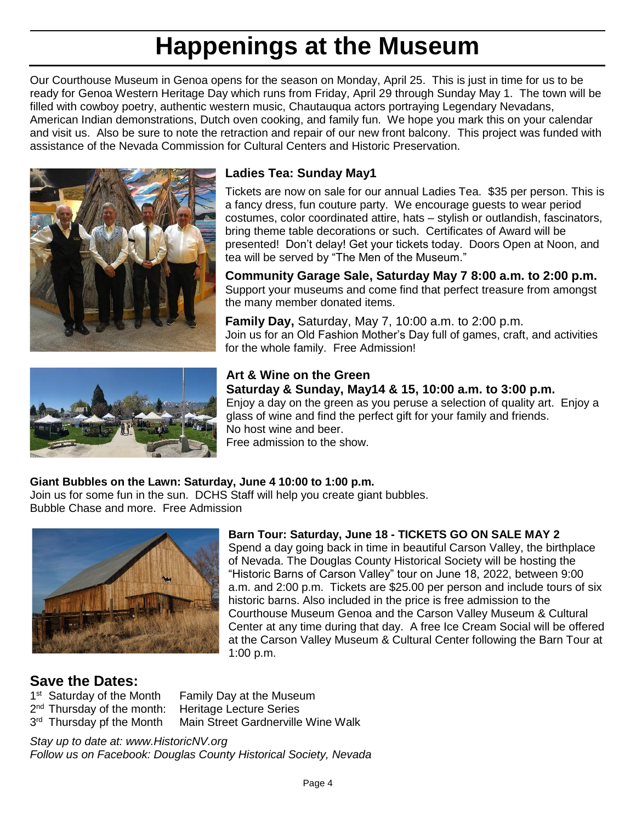## **Happenings at the Museum**

Our Courthouse Museum in Genoa opens for the season on Monday, April 25. This is just in time for us to be ready for Genoa Western Heritage Day which runs from Friday, April 29 through Sunday May 1. The town will be filled with cowboy poetry, authentic western music, Chautauqua actors portraying Legendary Nevadans, American Indian demonstrations, Dutch oven cooking, and family fun. We hope you mark this on your calendar and visit us. Also be sure to note the retraction and repair of our new front balcony. This project was funded with assistance of the Nevada Commission for Cultural Centers and Historic Preservation.





#### **Ladies Tea: Sunday May1**

Tickets are now on sale for our annual Ladies Tea. \$35 per person. This is a fancy dress, fun couture party. We encourage guests to wear period costumes, color coordinated attire, hats – stylish or outlandish, fascinators, bring theme table decorations or such. Certificates of Award will be presented! Don't delay! Get your tickets today. Doors Open at Noon, and tea will be served by "The Men of the Museum."

**Community Garage Sale, Saturday May 7 8:00 a.m. to 2:00 p.m.** Support your museums and come find that perfect treasure from amongst the many member donated items.

**Family Day,** Saturday, May 7, 10:00 a.m. to 2:00 p.m. Join us for an Old Fashion Mother's Day full of games, craft, and activities for the whole family. Free Admission!

#### **Art & Wine on the Green Saturday & Sunday, May14 & 15, 10:00 a.m. to 3:00 p.m.**

Enjoy a day on the green as you peruse a selection of quality art. Enjoy a glass of wine and find the perfect gift for your family and friends. No host wine and beer.

Free admission to the show.

#### **Giant Bubbles on the Lawn: Saturday, June 4 10:00 to 1:00 p.m.**

Join us for some fun in the sun. DCHS Staff will help you create giant bubbles. Bubble Chase and more. Free Admission



#### **Barn Tour: Saturday, June 18 - TICKETS GO ON SALE MAY 2**

Spend a day going back in time in beautiful Carson Valley, the birthplace of Nevada. The Douglas County Historical Society will be hosting the "Historic Barns of Carson Valley" tour on June 18, 2022, between 9:00 a.m. and 2:00 p.m. Tickets are \$25.00 per person and include tours of six historic barns. Also included in the price is free admission to the Courthouse Museum Genoa and the Carson Valley Museum & Cultural Center at any time during that day. A free Ice Cream Social will be offered at the Carson Valley Museum & Cultural Center following the Barn Tour at 1:00 p.m.

#### **Save the Dates:**

1<sup>st</sup> Saturday of the Month 2<sup>nd</sup> Thursday of the month: Heritage Lecture Series 3<sup>rd</sup> Thursday pf the Month

Family Day at the Museum Main Street Gardnerville Wine Walk

*Stay up to date at: www.HistoricNV.org Follow us on Facebook: Douglas County Historical Society, Nevada*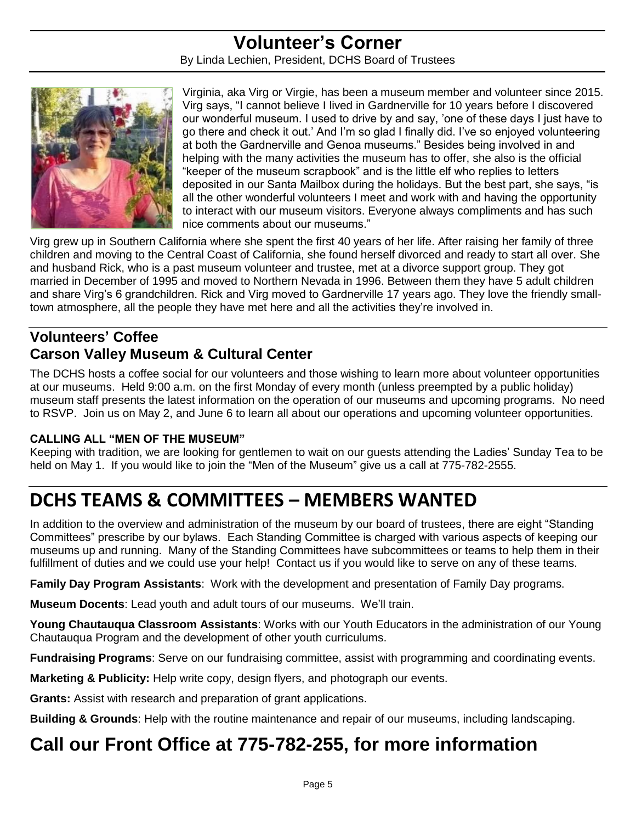#### **Volunteer's Corner** By Linda Lechien, President, DCHS Board of Trustees



Virginia, aka Virg or Virgie, has been a museum member and volunteer since 2015. Virg says, "I cannot believe I lived in Gardnerville for 10 years before I discovered our wonderful museum. I used to drive by and say, 'one of these days I just have to go there and check it out.' And I'm so glad I finally did. I've so enjoyed volunteering at both the Gardnerville and Genoa museums." Besides being involved in and helping with the many activities the museum has to offer, she also is the official "keeper of the museum scrapbook" and is the little elf who replies to letters deposited in our Santa Mailbox during the holidays. But the best part, she says, "is all the other wonderful volunteers I meet and work with and having the opportunity to interact with our museum visitors. Everyone always compliments and has such nice comments about our museums."

Virg grew up in Southern California where she spent the first 40 years of her life. After raising her family of three children and moving to the Central Coast of California, she found herself divorced and ready to start all over. She and husband Rick, who is a past museum volunteer and trustee, met at a divorce support group. They got married in December of 1995 and moved to Northern Nevada in 1996. Between them they have 5 adult children and share Virg's 6 grandchildren. Rick and Virg moved to Gardnerville 17 years ago. They love the friendly smalltown atmosphere, all the people they have met here and all the activities they're involved in.

#### **Volunteers' Coffee Carson Valley Museum & Cultural Center**

The DCHS hosts a coffee social for our volunteers and those wishing to learn more about volunteer opportunities at our museums. Held 9:00 a.m. on the first Monday of every month (unless preempted by a public holiday) museum staff presents the latest information on the operation of our museums and upcoming programs. No need to RSVP. Join us on May 2, and June 6 to learn all about our operations and upcoming volunteer opportunities.

#### **CALLING ALL "MEN OF THE MUSEUM"**

Keeping with tradition, we are looking for gentlemen to wait on our guests attending the Ladies' Sunday Tea to be held on May 1. If you would like to join the "Men of the Museum" give us a call at 775-782-2555.

## **DCHS TEAMS & COMMITTEES – MEMBERS WANTED**

In addition to the overview and administration of the museum by our board of trustees, there are eight "Standing Committees" prescribe by our bylaws. Each Standing Committee is charged with various aspects of keeping our museums up and running. Many of the Standing Committees have subcommittees or teams to help them in their fulfillment of duties and we could use your help! Contact us if you would like to serve on any of these teams.

**Family Day Program Assistants**: Work with the development and presentation of Family Day programs.

**Museum Docents**: Lead youth and adult tours of our museums. We'll train.

**Young Chautauqua Classroom Assistants**: Works with our Youth Educators in the administration of our Young Chautauqua Program and the development of other youth curriculums.

**Fundraising Programs**: Serve on our fundraising committee, assist with programming and coordinating events.

**Marketing & Publicity:** Help write copy, design flyers, and photograph our events.

**Grants:** Assist with research and preparation of grant applications.

**Building & Grounds**: Help with the routine maintenance and repair of our museums, including landscaping.

## **Call our Front Office at 775-782-255, for more information**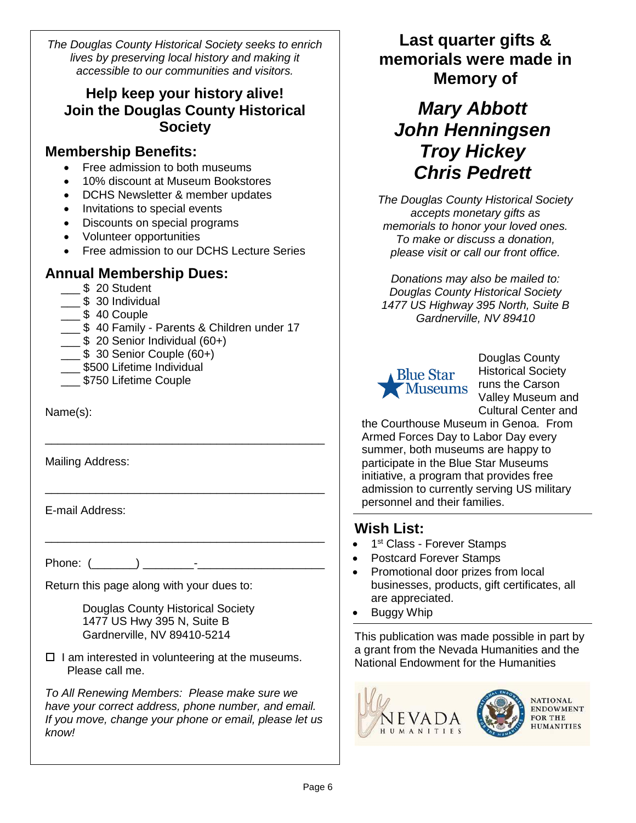*The Douglas County Historical Society seeks to enrich lives by preserving local history and making it accessible to our communities and visitors.*

#### **Help keep your history alive! Join the Douglas County Historical Society**

#### **Membership Benefits:**

- Free admission to both museums
- 10% discount at Museum Bookstores
- DCHS Newsletter & member updates
- Invitations to special events
- Discounts on special programs
- Volunteer opportunities
- Free admission to our DCHS Lecture Series

#### **Annual Membership Dues:**

- \$ 20 Student
- \_\_\_ \$ 30 Individual
- $\frac{1}{2}$  \$ 40 Couple
- 5 40 Family Parents & Children under 17

\_\_\_\_\_\_\_\_\_\_\_\_\_\_\_\_\_\_\_\_\_\_\_\_\_\_\_\_\_\_\_\_\_\_\_\_\_\_\_\_\_\_\_\_

\_\_\_\_\_\_\_\_\_\_\_\_\_\_\_\_\_\_\_\_\_\_\_\_\_\_\_\_\_\_\_\_\_\_\_\_\_\_\_\_\_\_\_\_

\_\_\_\_\_\_\_\_\_\_\_\_\_\_\_\_\_\_\_\_\_\_\_\_\_\_\_\_\_\_\_\_\_\_\_\_\_\_\_\_\_\_\_\_

- $\frac{1}{2}$  \$ 20 Senior Individual (60+)
- $\frac{1}{2}$  \$ 30 Senior Couple (60+)
- \_\_\_ \$500 Lifetime Individual
- \_\_\_ \$750 Lifetime Couple

Name(s):

Mailing Address:

E-mail Address:

Phone: (\_\_\_\_\_\_\_) \_\_\_\_\_\_\_\_-\_\_\_\_\_\_\_\_\_\_\_\_\_\_\_\_\_\_\_\_

Return this page along with your dues to:

Douglas County Historical Society 1477 US Hwy 395 N, Suite B Gardnerville, NV 89410-5214

 $\Box$  I am interested in volunteering at the museums. Please call me.

*To All Renewing Members: Please make sure we have your correct address, phone number, and email. If you move, change your phone or email, please let us know!*

### **Last quarter gifts & memorials were made in Memory of**

## *Mary Abbott John Henningsen Troy Hickey Chris Pedrett*

*The Douglas County Historical Society accepts monetary gifts as memorials to honor your loved ones. To make or discuss a donation, please visit or call our front office.* 

*Donations may also be mailed to: Douglas County Historical Society 1477 US Highway 395 North, Suite B Gardnerville, NV 89410*



Douglas County Historical Society Valley Museum and Cultural Center and

the Courthouse Museum in Genoa. From Armed Forces Day to Labor Day every summer, both museums are happy to participate in the Blue Star Museums initiative, a program that provides free admission to currently serving US military personnel and their families.

#### **Wish List:**

- $\bullet$ 1<sup>st</sup> Class - Forever Stamps
- Postcard Forever Stamps
- Promotional door prizes from local businesses, products, gift certificates, all are appreciated.
- **Buggy Whip**

This publication was made possible in part by a grant from the Nevada Humanities and the National Endowment for the Humanities

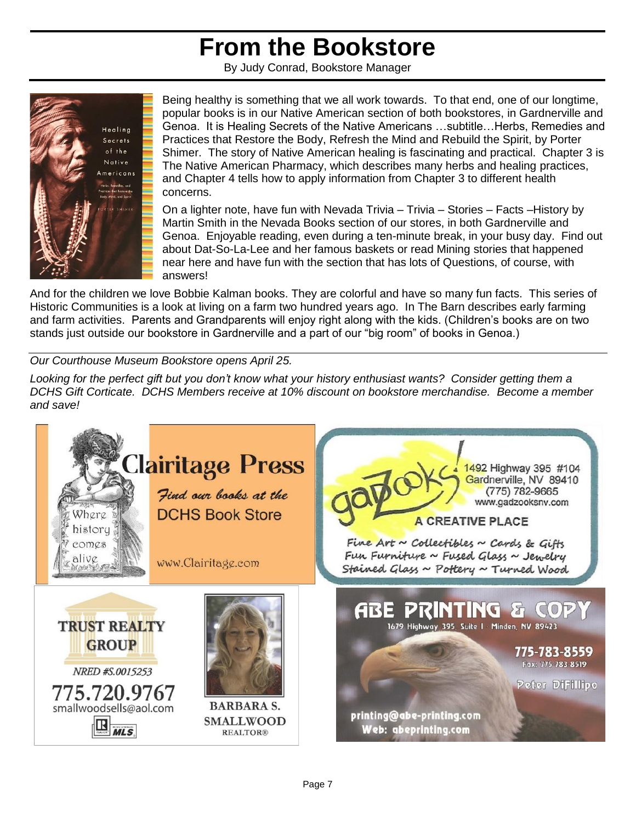## **From the Bookstore**

By Judy Conrad, Bookstore Manager



Being healthy is something that we all work towards. To that end, one of our longtime, popular books is in our Native American section of both bookstores, in Gardnerville and Genoa. It is Healing Secrets of the Native Americans …subtitle…Herbs, Remedies and Practices that Restore the Body, Refresh the Mind and Rebuild the Spirit, by Porter Shimer. The story of Native American healing is fascinating and practical. Chapter 3 is The Native American Pharmacy, which describes many herbs and healing practices, and Chapter 4 tells how to apply information from Chapter 3 to different health concerns.

On a lighter note, have fun with Nevada Trivia – Trivia – Stories – Facts –History by Martin Smith in the Nevada Books section of our stores, in both Gardnerville and Genoa. Enjoyable reading, even during a ten-minute break, in your busy day. Find out about Dat-So-La-Lee and her famous baskets or read Mining stories that happened near here and have fun with the section that has lots of Questions, of course, with answers!

And for the children we love Bobbie Kalman books. They are colorful and have so many fun facts. This series of Historic Communities is a look at living on a farm two hundred years ago. In The Barn describes early farming and farm activities. Parents and Grandparents will enjoy right along with the kids. (Children's books are on two stands just outside our bookstore in Gardnerville and a part of our "big room" of books in Genoa.)

*Our Courthouse Museum Bookstore opens April 25.*

*Looking for the perfect gift but you don't know what your history enthusiast wants? Consider getting them a DCHS Gift Corticate. DCHS Members receive at 10% discount on bookstore merchandise. Become a member and save!*